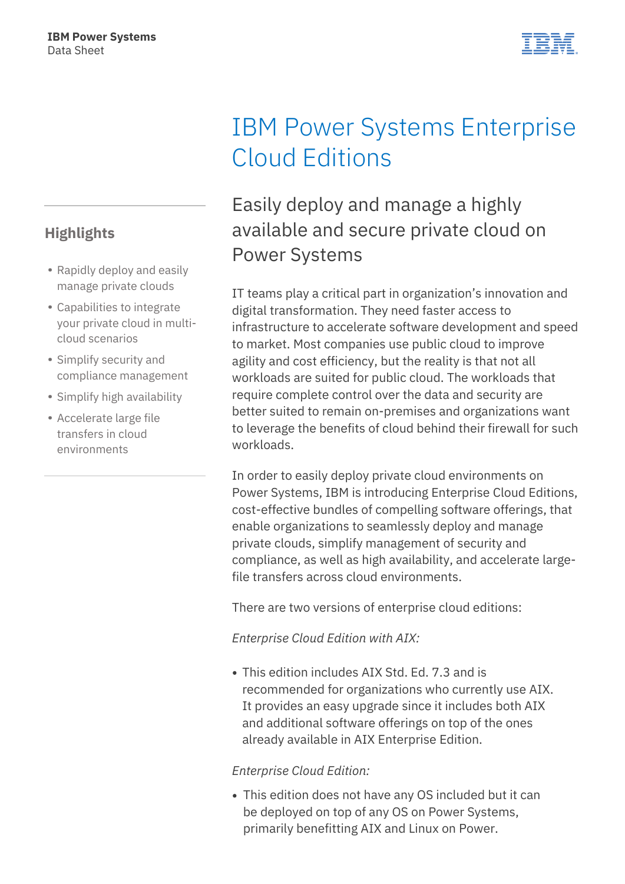### **Highlights**

- Rapidly deploy and easily manage private clouds
- Capabilities to integrate your private cloud in multicloud scenarios
- Simplify security and compliance management
- Simplify high availability
- Accelerate large file transfers in cloud environments

# IBM Power Systems Enterprise Cloud Editions

# Easily deploy and manage a highly available and secure private cloud on Power Systems

IT teams play a critical part in organization's innovation and digital transformation. They need faster access to infrastructure to accelerate software development and speed to market. Most companies use public cloud to improve agility and cost efficiency, but the reality is that not all workloads are suited for public cloud. The workloads that require complete control over the data and security are better suited to remain on-premises and organizations want to leverage the benefits of cloud behind their firewall for such workloads.

In order to easily deploy private cloud environments on Power Systems, IBM is introducing Enterprise Cloud Editions, cost-effective bundles of compelling software offerings, that enable organizations to seamlessly deploy and manage private clouds, simplify management of security and compliance, as well as high availability, and accelerate largefile transfers across cloud environments.

There are two versions of enterprise cloud editions:

#### *Enterprise Cloud Edition with AIX:*

This edition includes AIX Std. Ed. 7.3 and is recommended for organizations who currently use AIX. It provides an easy upgrade since it includes both AIX and additional software offerings on top of the ones already available in AIX Enterprise Edition.

#### *Enterprise Cloud Edition:*

This edition does not have any OS included but it can be deployed on top of any OS on Power Systems, primarily benefitting AIX and Linux on Power.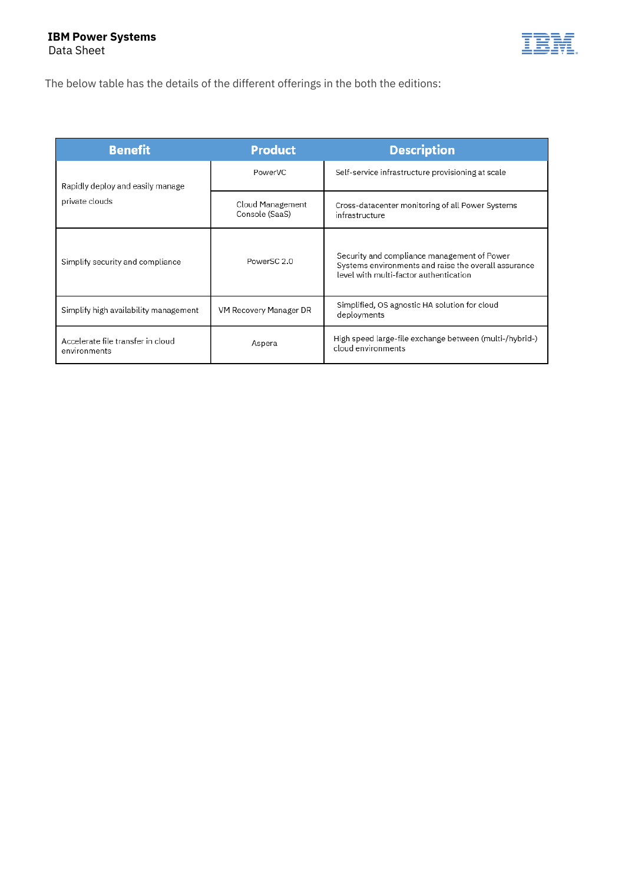

The below table has the details of the different offerings in the both the editions:

| <b>Benefit</b>                                     | <b>Product</b>                     | <b>Description</b>                                                                                                                            |
|----------------------------------------------------|------------------------------------|-----------------------------------------------------------------------------------------------------------------------------------------------|
| Rapidly deploy and easily manage<br>private clouds | PowerVC                            | Self-service infrastructure provisioning at scale                                                                                             |
|                                                    | Cloud Management<br>Console (SaaS) | Cross-datacenter monitoring of all Power Systems<br>infrastructure                                                                            |
| Simplify security and compliance                   | PowerSC <sub>2.0</sub>             | Security and compliance management of Power<br>Systems environments and raise the overall assurance<br>level with multi-factor authentication |
| Simplify high availability management              | VM Recovery Manager DR             | Simplified, OS agnostic HA solution for cloud<br>deployments                                                                                  |
| Accelerate file transfer in cloud<br>environments  | Aspera                             | High speed large-file exchange between (multi-/hybrid-)<br>cloud environments                                                                 |